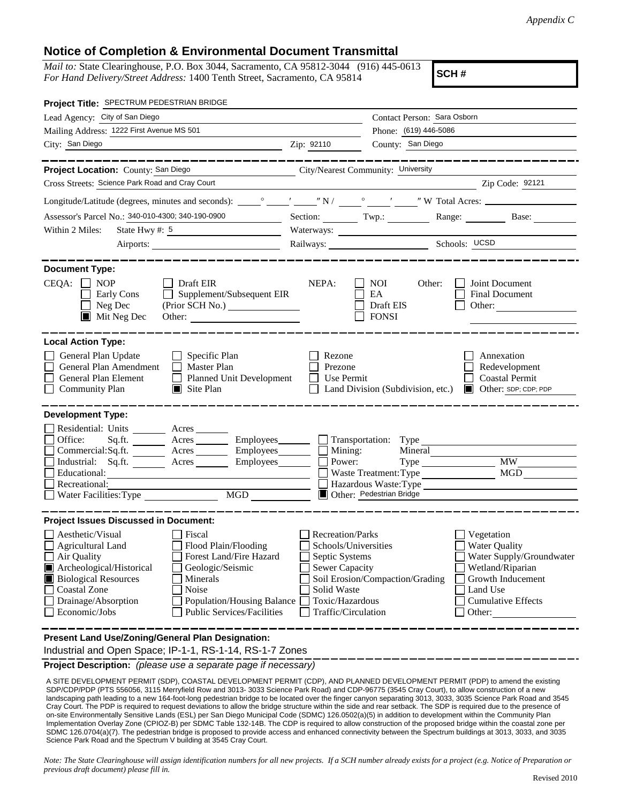## **Notice of Completion & Environmental Document Transmittal**

*Mail to:* State Clearinghouse, P.O. Box 3044, Sacramento, CA 95812-3044 (916) 445-0613 *For Hand Delivery/Street Address:* 1400 Tenth Street, Sacramento, CA 95814

**SCH #**

| Project Title: SPECTRUM PEDESTRIAN BRIDGE                                                                                                                                                                                                                                                                                                                                                                    |                                                                                                                                                     |                                                                                       |                                                                                                                                                                                                                                                                                                                                                                                                                                                                                 |  |
|--------------------------------------------------------------------------------------------------------------------------------------------------------------------------------------------------------------------------------------------------------------------------------------------------------------------------------------------------------------------------------------------------------------|-----------------------------------------------------------------------------------------------------------------------------------------------------|---------------------------------------------------------------------------------------|---------------------------------------------------------------------------------------------------------------------------------------------------------------------------------------------------------------------------------------------------------------------------------------------------------------------------------------------------------------------------------------------------------------------------------------------------------------------------------|--|
| Lead Agency: City of San Diego                                                                                                                                                                                                                                                                                                                                                                               |                                                                                                                                                     | Contact Person: Sara Osborn                                                           |                                                                                                                                                                                                                                                                                                                                                                                                                                                                                 |  |
| Mailing Address: 1222 First Avenue MS 501                                                                                                                                                                                                                                                                                                                                                                    |                                                                                                                                                     | Phone: (619) 446-5086                                                                 |                                                                                                                                                                                                                                                                                                                                                                                                                                                                                 |  |
| City: San Diego                                                                                                                                                                                                                                                                                                                                                                                              | Zip: 92110                                                                                                                                          | County: San Diego                                                                     |                                                                                                                                                                                                                                                                                                                                                                                                                                                                                 |  |
|                                                                                                                                                                                                                                                                                                                                                                                                              |                                                                                                                                                     |                                                                                       |                                                                                                                                                                                                                                                                                                                                                                                                                                                                                 |  |
| Project Location: County: San Diego<br>City/Nearest Community: University                                                                                                                                                                                                                                                                                                                                    |                                                                                                                                                     |                                                                                       |                                                                                                                                                                                                                                                                                                                                                                                                                                                                                 |  |
| Cross Streets: Science Park Road and Cray Court                                                                                                                                                                                                                                                                                                                                                              |                                                                                                                                                     |                                                                                       | $\overline{\phantom{a}}$ $\overline{\phantom{a}}$ $\overline{\phantom{a}}$ $\overline{\phantom{a}}$ $\overline{\phantom{a}}$ $\overline{\phantom{a}}$ $\overline{\phantom{a}}$ $\overline{\phantom{a}}$ $\overline{\phantom{a}}$ $\overline{\phantom{a}}$ $\overline{\phantom{a}}$ $\overline{\phantom{a}}$ $\overline{\phantom{a}}$ $\overline{\phantom{a}}$ $\overline{\phantom{a}}$ $\overline{\phantom{a}}$ $\overline{\phantom{a}}$ $\overline{\phantom{a}}$ $\overline{\$ |  |
|                                                                                                                                                                                                                                                                                                                                                                                                              |                                                                                                                                                     |                                                                                       |                                                                                                                                                                                                                                                                                                                                                                                                                                                                                 |  |
| Assessor's Parcel No.: 340-010-4300; 340-190-0900                                                                                                                                                                                                                                                                                                                                                            | Section: $\_\_\_\_\_\$ Twp.:                                                                                                                        |                                                                                       | Range: Base:                                                                                                                                                                                                                                                                                                                                                                                                                                                                    |  |
| State Hwy #: 5<br>Within 2 Miles:                                                                                                                                                                                                                                                                                                                                                                            |                                                                                                                                                     |                                                                                       |                                                                                                                                                                                                                                                                                                                                                                                                                                                                                 |  |
|                                                                                                                                                                                                                                                                                                                                                                                                              |                                                                                                                                                     | Railways: Schools: UCSD                                                               |                                                                                                                                                                                                                                                                                                                                                                                                                                                                                 |  |
| <b>Document Type:</b><br>$CEQA: \Box NP$<br>$\Box$ Draft EIR<br>$\Box$ Supplement/Subsequent EIR<br>Early Cons<br>$\Box$ Neg Dec<br>$\blacksquare$ Mit Neg Dec<br>Other:                                                                                                                                                                                                                                     | NEPA:                                                                                                                                               | <b>NOI</b><br>Other:<br>EA<br>Draft EIS<br><b>FONSI</b>                               | Joint Document<br>Final Document<br>Other:                                                                                                                                                                                                                                                                                                                                                                                                                                      |  |
| <b>Local Action Type:</b><br>General Plan Update<br>$\Box$ Specific Plan<br>General Plan Amendment<br>Master Plan<br>General Plan Element<br>Planned Unit Development<br><b>Community Plan</b><br>$\blacksquare$ Site Plan                                                                                                                                                                                   | Rezone<br>Prezone<br>Use Permit                                                                                                                     | Land Division (Subdivision, etc.)                                                     | Annexation<br>Redevelopment<br><b>Coastal Permit</b><br>Other: SDP; CDP; PDP                                                                                                                                                                                                                                                                                                                                                                                                    |  |
| <b>Development Type:</b>                                                                                                                                                                                                                                                                                                                                                                                     |                                                                                                                                                     |                                                                                       |                                                                                                                                                                                                                                                                                                                                                                                                                                                                                 |  |
| Residential: Units ________ Acres _______<br>Office:<br>Sq.ft. _______ Acres ________ Employees _______ _ Transportation: Type<br>Commercial:Sq.ft. ________ Acres _________ Employees ________ $\Box$ Mining:<br>Industrial: Sq.ft. _______ Acres ________ Employees _______ $\Box$<br>Educational:<br>Recreational:<br>MGD                                                                                 | Power:                                                                                                                                              | Mineral<br>Waste Treatment: Type<br>Hazardous Waste: Type<br>Other: Pedestrian Bridge | <b>MW</b><br><b>MGD</b>                                                                                                                                                                                                                                                                                                                                                                                                                                                         |  |
| <b>Project Issues Discussed in Document:</b>                                                                                                                                                                                                                                                                                                                                                                 |                                                                                                                                                     |                                                                                       |                                                                                                                                                                                                                                                                                                                                                                                                                                                                                 |  |
| Aesthetic/Visual<br>Fiscal<br>Agricultural Land<br>Flood Plain/Flooding<br>Forest Land/Fire Hazard<br>Air Quality<br>Archeological/Historical<br>Geologic/Seismic<br><b>Biological Resources</b><br>Minerals<br><b>Coastal Zone</b><br>Noise<br>Drainage/Absorption<br>Population/Housing Balance<br>Economic/Jobs<br><b>Public Services/Facilities</b><br>Present Land Use/Zoning/General Plan Designation: | <b>Recreation/Parks</b><br>Schools/Universities<br>Septic Systems<br><b>Sewer Capacity</b><br>Solid Waste<br>Toxic/Hazardous<br>Traffic/Circulation | Soil Erosion/Compaction/Grading                                                       | Vegetation<br><b>Water Quality</b><br>Water Supply/Groundwater<br>Wetland/Riparian<br>Growth Inducement<br>Land Use<br><b>Cumulative Effects</b><br>Other:                                                                                                                                                                                                                                                                                                                      |  |
| Industrial and Open Space; IP-1-1, RS-1-14, RS-1-7 Zones                                                                                                                                                                                                                                                                                                                                                     |                                                                                                                                                     |                                                                                       |                                                                                                                                                                                                                                                                                                                                                                                                                                                                                 |  |

**Project Description:** *(please use a separate page if necessary)*

 A SITE DEVELOPMENT PERMIT (SDP), COASTAL DEVELOPMENT PERMIT (CDP), AND PLANNED DEVELOPMENT PERMIT (PDP) to amend the existing SDP/CDP/PDP (PTS 556056, 3115 Merryfield Row and 3013- 3033 Science Park Road) and CDP-96775 (3545 Cray Court), to allow construction of a new landscaping path leading to a new 164-foot-long pedestrian bridge to be located over the finger canyon separating 3013, 3033, 3035 Science Park Road and 3545 Cray Court. The PDP is required to request deviations to allow the bridge structure within the side and rear setback. The SDP is required due to the presence of on-site Environmentally Sensitive Lands (ESL) per San Diego Municipal Code (SDMC) 126.0502(a)(5) in addition to development within the Community Plan Implementation Overlay Zone (CPIOZ-B) per SDMC Table 132-14B. The CDP is required to allow construction of the proposed bridge within the coastal zone per SDMC 126.0704(a)(7). The pedestrian bridge is proposed to provide access and enhanced connectivity between the Spectrum buildings at 3013, 3033, and 3035 Science Park Road and the Spectrum V building at 3545 Cray Court.

*Note: The State Clearinghouse will assign identification numbers for all new projects. If a SCH number already exists for a project (e.g. Notice of Preparation or previous draft document) please fill in.*